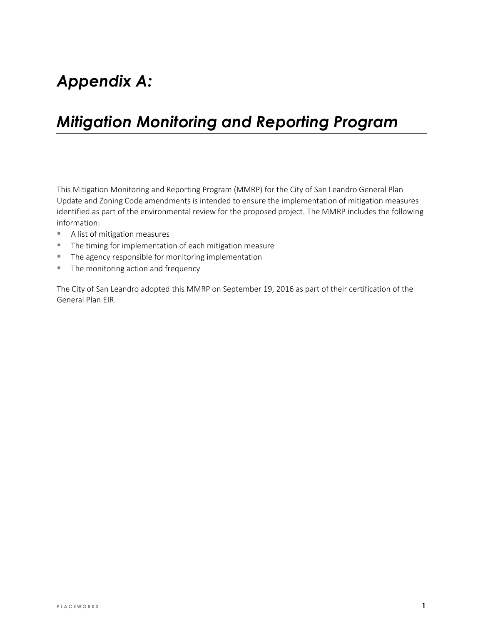# Appendix A:

# Mitigation Monitoring and Reporting Program

This Mitigation Monitoring and Reporting Program (MMRP) for the City of San Leandro General Plan Update and Zoning Code amendments is intended to ensure the implementation of mitigation measures identified as part of the environmental review for the proposed project. The MMRP includes the following information:

- A list of mitigation measures
- **The timing for implementation of each mitigation measure**
- **The agency responsible for monitoring implementation**
- The monitoring action and frequency

The City of San Leandro adopted this MMRP on September 19, 2016 as part of their certification of the General Plan EIR.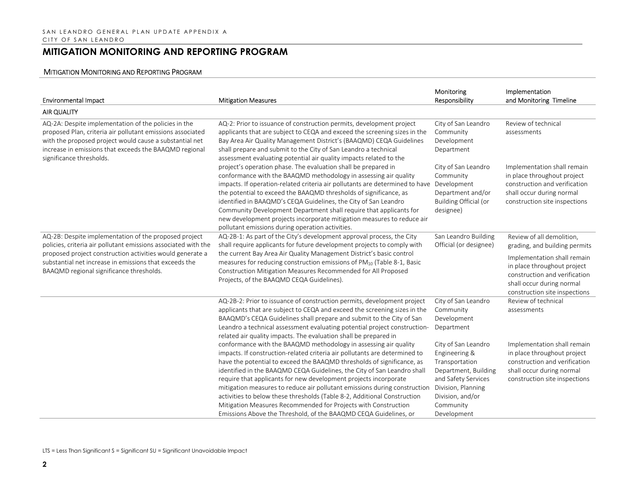| <b>Environmental Impact</b>                                                                                                                                                                                                                                         | <b>Mitigation Measures</b>                                                                                                                                                                                                                                                                                                                                                                                                                                                                                                                                     | Monitoring<br>Responsibility                                                                                                                    | Implementation<br>and Monitoring Timeline                                                                                                                 |
|---------------------------------------------------------------------------------------------------------------------------------------------------------------------------------------------------------------------------------------------------------------------|----------------------------------------------------------------------------------------------------------------------------------------------------------------------------------------------------------------------------------------------------------------------------------------------------------------------------------------------------------------------------------------------------------------------------------------------------------------------------------------------------------------------------------------------------------------|-------------------------------------------------------------------------------------------------------------------------------------------------|-----------------------------------------------------------------------------------------------------------------------------------------------------------|
| <b>AIR QUALITY</b>                                                                                                                                                                                                                                                  |                                                                                                                                                                                                                                                                                                                                                                                                                                                                                                                                                                |                                                                                                                                                 |                                                                                                                                                           |
| AQ-2A: Despite implementation of the policies in the<br>proposed Plan, criteria air pollutant emissions associated<br>with the proposed project would cause a substantial net<br>increase in emissions that exceeds the BAAQMD regional<br>significance thresholds. | AQ-2: Prior to issuance of construction permits, development project<br>applicants that are subject to CEQA and exceed the screening sizes in the<br>Bay Area Air Quality Management District's (BAAQMD) CEQA Guidelines<br>shall prepare and submit to the City of San Leandro a technical<br>assessment evaluating potential air quality impacts related to the                                                                                                                                                                                              | City of San Leandro<br>Community<br>Development<br>Department                                                                                   | Review of technical<br>assessments                                                                                                                        |
|                                                                                                                                                                                                                                                                     | project's operation phase. The evaluation shall be prepared in<br>conformance with the BAAQMD methodology in assessing air quality<br>impacts. If operation-related criteria air pollutants are determined to have<br>the potential to exceed the BAAQMD thresholds of significance, as<br>identified in BAAQMD's CEQA Guidelines, the City of San Leandro<br>Community Development Department shall require that applicants for<br>new development projects incorporate mitigation measures to reduce air<br>pollutant emissions during operation activities. | City of San Leandro<br>Community<br>Development<br>Department and/or<br>Building Official (or<br>designee)                                      | Implementation shall remain<br>in place throughout project<br>construction and verification<br>shall occur during normal<br>construction site inspections |
| AQ-2B: Despite implementation of the proposed project<br>policies, criteria air pollutant emissions associated with the                                                                                                                                             | AQ-2B-1: As part of the City's development approval process, the City<br>shall require applicants for future development projects to comply with                                                                                                                                                                                                                                                                                                                                                                                                               | San Leandro Building<br>Official (or designee)                                                                                                  | Review of all demolition,<br>grading, and building permits                                                                                                |
| proposed project construction activities would generate a<br>substantial net increase in emissions that exceeds the<br>BAAQMD regional significance thresholds.                                                                                                     | the current Bay Area Air Quality Management District's basic control<br>measures for reducing construction emissions of PM <sub>10</sub> (Table 8-1, Basic<br>Construction Mitigation Measures Recommended for All Proposed<br>Projects, of the BAAQMD CEQA Guidelines).                                                                                                                                                                                                                                                                                       |                                                                                                                                                 | Implementation shall remain<br>in place throughout project<br>construction and verification<br>shall occur during normal<br>construction site inspections |
|                                                                                                                                                                                                                                                                     | AQ-2B-2: Prior to issuance of construction permits, development project<br>applicants that are subject to CEQA and exceed the screening sizes in the<br>BAAQMD's CEQA Guidelines shall prepare and submit to the City of San<br>Leandro a technical assessment evaluating potential project construction-<br>related air quality impacts. The evaluation shall be prepared in                                                                                                                                                                                  | City of San Leandro<br>Community<br>Development<br>Department                                                                                   | Review of technical<br>assessments                                                                                                                        |
|                                                                                                                                                                                                                                                                     | conformance with the BAAQMD methodology in assessing air quality<br>impacts. If construction-related criteria air pollutants are determined to<br>have the potential to exceed the BAAQMD thresholds of significance, as<br>identified in the BAAQMD CEQA Guidelines, the City of San Leandro shall<br>require that applicants for new development projects incorporate<br>mitigation measures to reduce air pollutant emissions during construction<br>activities to below these thresholds (Table 8-2, Additional Construction                               | City of San Leandro<br>Engineering &<br>Transportation<br>Department, Building<br>and Safety Services<br>Division, Planning<br>Division, and/or | Implementation shall remain<br>in place throughout project<br>construction and verification<br>shall occur during normal<br>construction site inspections |
|                                                                                                                                                                                                                                                                     | Mitigation Measures Recommended for Projects with Construction<br>Emissions Above the Threshold, of the BAAQMD CEQA Guidelines, or                                                                                                                                                                                                                                                                                                                                                                                                                             | Community<br>Development                                                                                                                        |                                                                                                                                                           |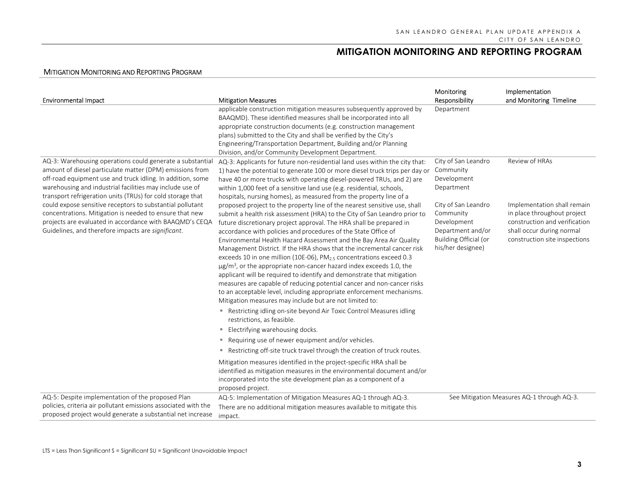| <b>Environmental Impact</b>                                                                                                                                                                                                                                                                                   | <b>Mitigation Measures</b>                                                                                                                                                                                                                                                                                                                                                                                                                                                                                                                                                                                                                                                                                                                                                                                                                                                                                                                                                                                                                                                                                                                                                                                                                                                  | Monitoring<br>Responsibility                                                                                       | Implementation<br>and Monitoring Timeline                                                                                                                 |
|---------------------------------------------------------------------------------------------------------------------------------------------------------------------------------------------------------------------------------------------------------------------------------------------------------------|-----------------------------------------------------------------------------------------------------------------------------------------------------------------------------------------------------------------------------------------------------------------------------------------------------------------------------------------------------------------------------------------------------------------------------------------------------------------------------------------------------------------------------------------------------------------------------------------------------------------------------------------------------------------------------------------------------------------------------------------------------------------------------------------------------------------------------------------------------------------------------------------------------------------------------------------------------------------------------------------------------------------------------------------------------------------------------------------------------------------------------------------------------------------------------------------------------------------------------------------------------------------------------|--------------------------------------------------------------------------------------------------------------------|-----------------------------------------------------------------------------------------------------------------------------------------------------------|
|                                                                                                                                                                                                                                                                                                               | applicable construction mitigation measures subsequently approved by<br>BAAQMD). These identified measures shall be incorporated into all<br>appropriate construction documents (e.g. construction management<br>plans) submitted to the City and shall be verified by the City's<br>Engineering/Transportation Department, Building and/or Planning<br>Division, and/or Community Development Department.                                                                                                                                                                                                                                                                                                                                                                                                                                                                                                                                                                                                                                                                                                                                                                                                                                                                  | Department                                                                                                         |                                                                                                                                                           |
| AQ-3: Warehousing operations could generate a substantial<br>amount of diesel particulate matter (DPM) emissions from<br>off-road equipment use and truck idling. In addition, some<br>warehousing and industrial facilities may include use of<br>transport refrigeration units (TRUs) for cold storage that | AQ-3: Applicants for future non-residential land uses within the city that:<br>1) have the potential to generate 100 or more diesel truck trips per day or<br>have 40 or more trucks with operating diesel-powered TRUs, and 2) are<br>within 1,000 feet of a sensitive land use (e.g. residential, schools,                                                                                                                                                                                                                                                                                                                                                                                                                                                                                                                                                                                                                                                                                                                                                                                                                                                                                                                                                                | City of San Leandro<br>Community<br>Development<br>Department                                                      | Review of HRAs                                                                                                                                            |
| could expose sensitive receptors to substantial pollutant<br>concentrations. Mitigation is needed to ensure that new<br>projects are evaluated in accordance with BAAQMD's CEQA<br>Guidelines, and therefore impacts are significant.                                                                         | hospitals, nursing homes), as measured from the property line of a<br>proposed project to the property line of the nearest sensitive use, shall<br>submit a health risk assessment (HRA) to the City of San Leandro prior to<br>future discretionary project approval. The HRA shall be prepared in<br>accordance with policies and procedures of the State Office of<br>Environmental Health Hazard Assessment and the Bay Area Air Quality<br>Management District. If the HRA shows that the incremental cancer risk<br>exceeds 10 in one million (10E-06), PM <sub>2.5</sub> concentrations exceed 0.3<br>$\mu$ g/m <sup>3</sup> , or the appropriate non-cancer hazard index exceeds 1.0, the<br>applicant will be required to identify and demonstrate that mitigation<br>measures are capable of reducing potential cancer and non-cancer risks<br>to an acceptable level, including appropriate enforcement mechanisms.<br>Mitigation measures may include but are not limited to:<br>Restricting idling on-site beyond Air Toxic Control Measures idling<br>restrictions, as feasible.<br>Electrifying warehousing docks.<br>ш.<br>" Requiring use of newer equipment and/or vehicles.<br>" Restricting off-site truck travel through the creation of truck routes. | City of San Leandro<br>Community<br>Development<br>Department and/or<br>Building Official (or<br>his/her designee) | Implementation shall remain<br>in place throughout project<br>construction and verification<br>shall occur during normal<br>construction site inspections |
|                                                                                                                                                                                                                                                                                                               | Mitigation measures identified in the project-specific HRA shall be<br>identified as mitigation measures in the environmental document and/or<br>incorporated into the site development plan as a component of a<br>proposed project.                                                                                                                                                                                                                                                                                                                                                                                                                                                                                                                                                                                                                                                                                                                                                                                                                                                                                                                                                                                                                                       |                                                                                                                    |                                                                                                                                                           |
| AQ-5: Despite implementation of the proposed Plan<br>policies, criteria air pollutant emissions associated with the<br>proposed project would generate a substantial net increase                                                                                                                             | AQ-5: Implementation of Mitigation Measures AQ-1 through AQ-3.<br>There are no additional mitigation measures available to mitigate this<br>impact.                                                                                                                                                                                                                                                                                                                                                                                                                                                                                                                                                                                                                                                                                                                                                                                                                                                                                                                                                                                                                                                                                                                         |                                                                                                                    | See Mitigation Measures AQ-1 through AQ-3.                                                                                                                |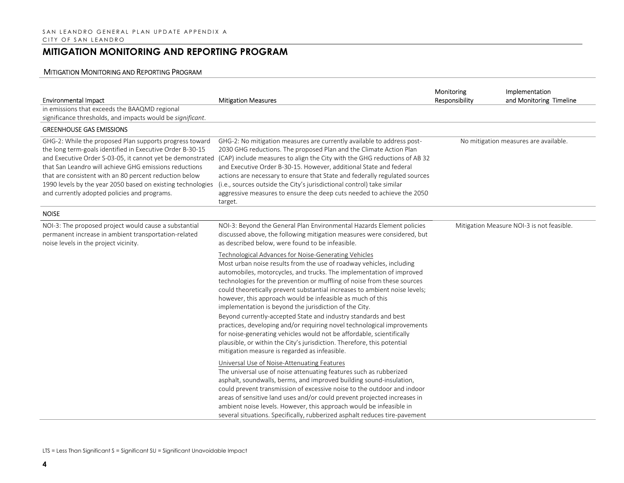| <b>Environmental Impact</b>                                                                                                                                                                                                                                                                                                                                                                                           | <b>Mitigation Measures</b>                                                                                                                                                                                                                                                                                                                                                                                                                                                                                                                                                                                                                                                                                                                                                                                                               | Monitoring<br>Responsibility | Implementation<br>and Monitoring Timeline |
|-----------------------------------------------------------------------------------------------------------------------------------------------------------------------------------------------------------------------------------------------------------------------------------------------------------------------------------------------------------------------------------------------------------------------|------------------------------------------------------------------------------------------------------------------------------------------------------------------------------------------------------------------------------------------------------------------------------------------------------------------------------------------------------------------------------------------------------------------------------------------------------------------------------------------------------------------------------------------------------------------------------------------------------------------------------------------------------------------------------------------------------------------------------------------------------------------------------------------------------------------------------------------|------------------------------|-------------------------------------------|
| in emissions that exceeds the BAAQMD regional<br>significance thresholds, and impacts would be significant.                                                                                                                                                                                                                                                                                                           |                                                                                                                                                                                                                                                                                                                                                                                                                                                                                                                                                                                                                                                                                                                                                                                                                                          |                              |                                           |
| <b>GREENHOUSE GAS EMISSIONS</b>                                                                                                                                                                                                                                                                                                                                                                                       |                                                                                                                                                                                                                                                                                                                                                                                                                                                                                                                                                                                                                                                                                                                                                                                                                                          |                              |                                           |
| GHG-2: While the proposed Plan supports progress toward<br>the long term-goals identified in Executive Order B-30-15<br>and Executive Order S-03-05, it cannot yet be demonstrated<br>that San Leandro will achieve GHG emissions reductions<br>that are consistent with an 80 percent reduction below<br>1990 levels by the year 2050 based on existing technologies<br>and currently adopted policies and programs. | GHG-2: No mitigation measures are currently available to address post-<br>2030 GHG reductions. The proposed Plan and the Climate Action Plan<br>(CAP) include measures to align the City with the GHG reductions of AB 32<br>and Executive Order B-30-15. However, additional State and federal<br>actions are necessary to ensure that State and federally regulated sources<br>(i.e., sources outside the City's jurisdictional control) take similar<br>aggressive measures to ensure the deep cuts needed to achieve the 2050<br>target.                                                                                                                                                                                                                                                                                             |                              | No mitigation measures are available.     |
| <b>NOISE</b>                                                                                                                                                                                                                                                                                                                                                                                                          |                                                                                                                                                                                                                                                                                                                                                                                                                                                                                                                                                                                                                                                                                                                                                                                                                                          |                              |                                           |
| NOI-3: The proposed project would cause a substantial<br>permanent increase in ambient transportation-related<br>noise levels in the project vicinity.                                                                                                                                                                                                                                                                | NOI-3: Beyond the General Plan Environmental Hazards Element policies<br>discussed above, the following mitigation measures were considered, but<br>as described below, were found to be infeasible.                                                                                                                                                                                                                                                                                                                                                                                                                                                                                                                                                                                                                                     |                              | Mitigation Measure NOI-3 is not feasible. |
|                                                                                                                                                                                                                                                                                                                                                                                                                       | Technological Advances for Noise-Generating Vehicles<br>Most urban noise results from the use of roadway vehicles, including<br>automobiles, motorcycles, and trucks. The implementation of improved<br>technologies for the prevention or muffling of noise from these sources<br>could theoretically prevent substantial increases to ambient noise levels;<br>however, this approach would be infeasible as much of this<br>implementation is beyond the jurisdiction of the City.<br>Beyond currently-accepted State and industry standards and best<br>practices, developing and/or requiring novel technological improvements<br>for noise-generating vehicles would not be affordable, scientifically<br>plausible, or within the City's jurisdiction. Therefore, this potential<br>mitigation measure is regarded as infeasible. |                              |                                           |
|                                                                                                                                                                                                                                                                                                                                                                                                                       | Universal Use of Noise-Attenuating Features<br>The universal use of noise attenuating features such as rubberized<br>asphalt, soundwalls, berms, and improved building sound-insulation,<br>could prevent transmission of excessive noise to the outdoor and indoor<br>areas of sensitive land uses and/or could prevent projected increases in<br>ambient noise levels. However, this approach would be infeasible in<br>several situations. Specifically, rubberized asphalt reduces tire-pavement                                                                                                                                                                                                                                                                                                                                     |                              |                                           |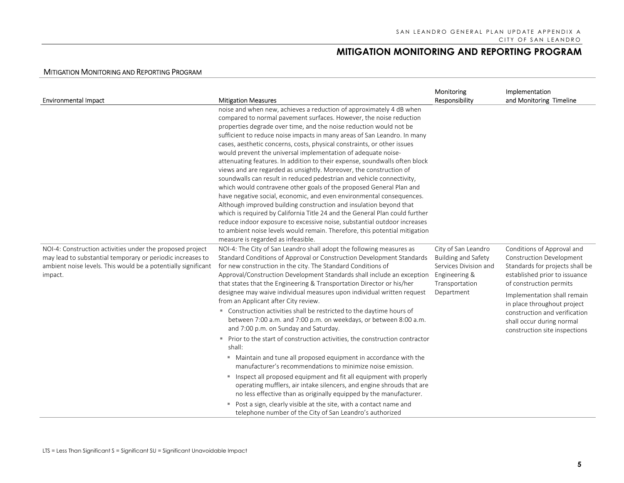| <b>Mitigation Measures</b>                                                                                                                                                                                                                                                                                                                                                                                                                                                                                                                                                                                                                                                                                                                                                                                                                                                                                                                                                                                                                                                                                                                                               | Monitoring<br>Responsibility                                                                               | Implementation<br>and Monitoring Timeline                                                                                                                                                                                                                                                                                 |
|--------------------------------------------------------------------------------------------------------------------------------------------------------------------------------------------------------------------------------------------------------------------------------------------------------------------------------------------------------------------------------------------------------------------------------------------------------------------------------------------------------------------------------------------------------------------------------------------------------------------------------------------------------------------------------------------------------------------------------------------------------------------------------------------------------------------------------------------------------------------------------------------------------------------------------------------------------------------------------------------------------------------------------------------------------------------------------------------------------------------------------------------------------------------------|------------------------------------------------------------------------------------------------------------|---------------------------------------------------------------------------------------------------------------------------------------------------------------------------------------------------------------------------------------------------------------------------------------------------------------------------|
| noise and when new, achieves a reduction of approximately 4 dB when<br>compared to normal pavement surfaces. However, the noise reduction<br>properties degrade over time, and the noise reduction would not be<br>sufficient to reduce noise impacts in many areas of San Leandro. In many<br>cases, aesthetic concerns, costs, physical constraints, or other issues<br>would prevent the universal implementation of adequate noise-<br>attenuating features. In addition to their expense, soundwalls often block<br>views and are regarded as unsightly. Moreover, the construction of<br>soundwalls can result in reduced pedestrian and vehicle connectivity,<br>which would contravene other goals of the proposed General Plan and<br>have negative social, economic, and even environmental consequences.<br>Although improved building construction and insulation beyond that<br>which is required by California Title 24 and the General Plan could further<br>reduce indoor exposure to excessive noise, substantial outdoor increases<br>to ambient noise levels would remain. Therefore, this potential mitigation<br>measure is regarded as infeasible. |                                                                                                            |                                                                                                                                                                                                                                                                                                                           |
| NOI-4: The City of San Leandro shall adopt the following measures as<br>Standard Conditions of Approval or Construction Development Standards<br>for new construction in the city. The Standard Conditions of<br>that states that the Engineering & Transportation Director or his/her<br>designee may waive individual measures upon individual written request<br>from an Applicant after City review.<br>" Construction activities shall be restricted to the daytime hours of<br>between 7:00 a.m. and 7:00 p.m. on weekdays, or between 8:00 a.m.<br>and 7:00 p.m. on Sunday and Saturday.<br>Prior to the start of construction activities, the construction contractor<br>shall:<br>" Maintain and tune all proposed equipment in accordance with the<br>manufacturer's recommendations to minimize noise emission.<br>Inspect all proposed equipment and fit all equipment with properly<br>operating mufflers, air intake silencers, and engine shrouds that are<br>no less effective than as originally equipped by the manufacturer.<br>Post a sign, clearly visible at the site, with a contact name and                                                     | City of San Leandro<br><b>Building and Safety</b><br>Services Division and<br>Transportation<br>Department | Conditions of Approval and<br><b>Construction Development</b><br>Standards for projects shall be<br>established prior to issuance<br>of construction permits<br>Implementation shall remain<br>in place throughout project<br>construction and verification<br>shall occur during normal<br>construction site inspections |
|                                                                                                                                                                                                                                                                                                                                                                                                                                                                                                                                                                                                                                                                                                                                                                                                                                                                                                                                                                                                                                                                                                                                                                          | telephone number of the City of San Leandro's authorized                                                   | Approval/Construction Development Standards shall include an exception Engineering &                                                                                                                                                                                                                                      |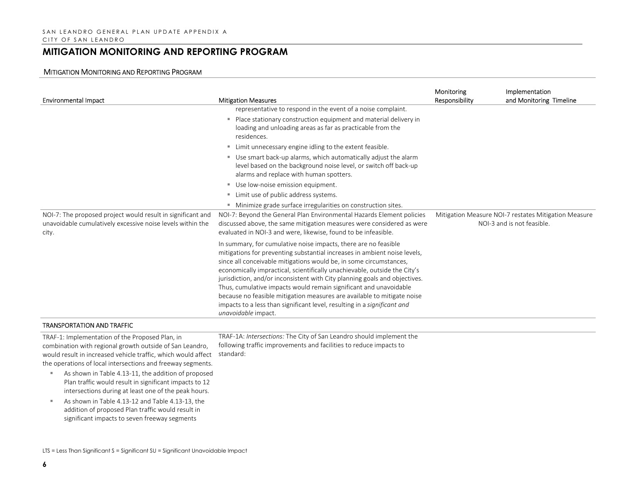| <b>Environmental Impact</b>                                                                                                                                                                                                                 | <b>Mitigation Measures</b>                                                                                                                                                                                                                                                                                                                                                                                                                                                                                                                                                                                                       | Monitoring<br>Responsibility | Implementation<br>and Monitoring Timeline                                          |
|---------------------------------------------------------------------------------------------------------------------------------------------------------------------------------------------------------------------------------------------|----------------------------------------------------------------------------------------------------------------------------------------------------------------------------------------------------------------------------------------------------------------------------------------------------------------------------------------------------------------------------------------------------------------------------------------------------------------------------------------------------------------------------------------------------------------------------------------------------------------------------------|------------------------------|------------------------------------------------------------------------------------|
|                                                                                                                                                                                                                                             | representative to respond in the event of a noise complaint.                                                                                                                                                                                                                                                                                                                                                                                                                                                                                                                                                                     |                              |                                                                                    |
|                                                                                                                                                                                                                                             | Place stationary construction equipment and material delivery in<br>loading and unloading areas as far as practicable from the<br>residences.                                                                                                                                                                                                                                                                                                                                                                                                                                                                                    |                              |                                                                                    |
|                                                                                                                                                                                                                                             | ■ Limit unnecessary engine idling to the extent feasible.                                                                                                                                                                                                                                                                                                                                                                                                                                                                                                                                                                        |                              |                                                                                    |
|                                                                                                                                                                                                                                             | " Use smart back-up alarms, which automatically adjust the alarm<br>level based on the background noise level, or switch off back-up<br>alarms and replace with human spotters.                                                                                                                                                                                                                                                                                                                                                                                                                                                  |                              |                                                                                    |
|                                                                                                                                                                                                                                             | Use low-noise emission equipment.                                                                                                                                                                                                                                                                                                                                                                                                                                                                                                                                                                                                |                              |                                                                                    |
|                                                                                                                                                                                                                                             | " Limit use of public address systems.                                                                                                                                                                                                                                                                                                                                                                                                                                                                                                                                                                                           |                              |                                                                                    |
|                                                                                                                                                                                                                                             | • Minimize grade surface irregularities on construction sites.                                                                                                                                                                                                                                                                                                                                                                                                                                                                                                                                                                   |                              |                                                                                    |
| NOI-7: The proposed project would result in significant and<br>unavoidable cumulatively excessive noise levels within the<br>city.                                                                                                          | NOI-7: Beyond the General Plan Environmental Hazards Element policies<br>discussed above, the same mitigation measures were considered as were<br>evaluated in NOI-3 and were, likewise, found to be infeasible.                                                                                                                                                                                                                                                                                                                                                                                                                 |                              | Mitigation Measure NOI-7 restates Mitigation Measure<br>NOI-3 and is not feasible. |
|                                                                                                                                                                                                                                             | In summary, for cumulative noise impacts, there are no feasible<br>mitigations for preventing substantial increases in ambient noise levels,<br>since all conceivable mitigations would be, in some circumstances,<br>economically impractical, scientifically unachievable, outside the City's<br>jurisdiction, and/or inconsistent with City planning goals and objectives.<br>Thus, cumulative impacts would remain significant and unavoidable<br>because no feasible mitigation measures are available to mitigate noise<br>impacts to a less than significant level, resulting in a significant and<br>unavoidable impact. |                              |                                                                                    |
| <b>TRANSPORTATION AND TRAFFIC</b>                                                                                                                                                                                                           |                                                                                                                                                                                                                                                                                                                                                                                                                                                                                                                                                                                                                                  |                              |                                                                                    |
| TRAF-1: Implementation of the Proposed Plan, in<br>combination with regional growth outside of San Leandro,<br>would result in increased vehicle traffic, which would affect<br>the operations of local intersections and freeway segments. | TRAF-1A: Intersections: The City of San Leandro should implement the<br>following traffic improvements and facilities to reduce impacts to<br>standard:                                                                                                                                                                                                                                                                                                                                                                                                                                                                          |                              |                                                                                    |
| As shown in Table 4.13-11, the addition of proposed<br>٠<br>Plan traffic would result in significant impacts to 12<br>intersections during at least one of the peak hours.                                                                  |                                                                                                                                                                                                                                                                                                                                                                                                                                                                                                                                                                                                                                  |                              |                                                                                    |
| As shown in Table 4.13-12 and Table 4.13-13, the<br>п,<br>addition of proposed Plan traffic would result in<br>significant impacts to seven freeway segments                                                                                |                                                                                                                                                                                                                                                                                                                                                                                                                                                                                                                                                                                                                                  |                              |                                                                                    |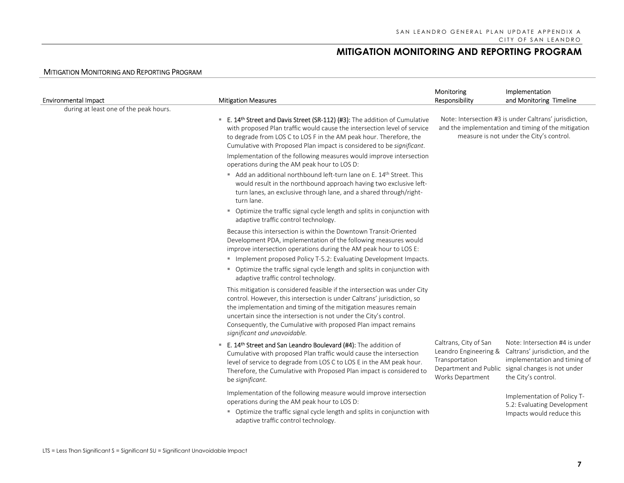| <b>Environmental Impact</b>            | <b>Mitigation Measures</b>                                                                                                                                                                                                                                                                                                                                                                     | Monitoring<br>Responsibility                                                                                                                              | Implementation<br>and Monitoring Timeline                                                                                                                                     |
|----------------------------------------|------------------------------------------------------------------------------------------------------------------------------------------------------------------------------------------------------------------------------------------------------------------------------------------------------------------------------------------------------------------------------------------------|-----------------------------------------------------------------------------------------------------------------------------------------------------------|-------------------------------------------------------------------------------------------------------------------------------------------------------------------------------|
| during at least one of the peak hours. |                                                                                                                                                                                                                                                                                                                                                                                                |                                                                                                                                                           |                                                                                                                                                                               |
|                                        | E. 14 <sup>th</sup> Street and Davis Street (SR-112) (#3): The addition of Cumulative<br>with proposed Plan traffic would cause the intersection level of service<br>to degrade from LOS C to LOS F in the AM peak hour. Therefore, the<br>Cumulative with Proposed Plan impact is considered to be significant.                                                                               | Note: Intersection #3 is under Caltrans' jurisdiction,<br>and the implementation and timing of the mitigation<br>measure is not under the City's control. |                                                                                                                                                                               |
|                                        | Implementation of the following measures would improve intersection<br>operations during the AM peak hour to LOS D:                                                                                                                                                                                                                                                                            |                                                                                                                                                           |                                                                                                                                                                               |
|                                        | Add an additional northbound left-turn lane on E. 14th Street. This<br>would result in the northbound approach having two exclusive left-<br>turn lanes, an exclusive through lane, and a shared through/right-<br>turn lane.                                                                                                                                                                  |                                                                                                                                                           |                                                                                                                                                                               |
|                                        | • Optimize the traffic signal cycle length and splits in conjunction with<br>adaptive traffic control technology.                                                                                                                                                                                                                                                                              |                                                                                                                                                           |                                                                                                                                                                               |
|                                        | Because this intersection is within the Downtown Transit-Oriented<br>Development PDA, implementation of the following measures would<br>improve intersection operations during the AM peak hour to LOS E:                                                                                                                                                                                      |                                                                                                                                                           |                                                                                                                                                                               |
|                                        | " Implement proposed Policy T-5.2: Evaluating Development Impacts.                                                                                                                                                                                                                                                                                                                             |                                                                                                                                                           |                                                                                                                                                                               |
|                                        | " Optimize the traffic signal cycle length and splits in conjunction with<br>adaptive traffic control technology.                                                                                                                                                                                                                                                                              |                                                                                                                                                           |                                                                                                                                                                               |
|                                        | This mitigation is considered feasible if the intersection was under City<br>control. However, this intersection is under Caltrans' jurisdiction, so<br>the implementation and timing of the mitigation measures remain<br>uncertain since the intersection is not under the City's control.<br>Consequently, the Cumulative with proposed Plan impact remains<br>significant and unavoidable. |                                                                                                                                                           |                                                                                                                                                                               |
|                                        | E. 14th Street and San Leandro Boulevard (#4): The addition of<br>m.<br>Cumulative with proposed Plan traffic would cause the intersection<br>level of service to degrade from LOS C to LOS E in the AM peak hour.<br>Therefore, the Cumulative with Proposed Plan impact is considered to<br>be significant.                                                                                  | Caltrans, City of San<br>Leandro Engineering &<br>Transportation<br>Works Department                                                                      | Note: Intersection #4 is under<br>Caltrans' jurisdiction, and the<br>implementation and timing of<br>Department and Public signal changes is not under<br>the City's control. |
|                                        | Implementation of the following measure would improve intersection<br>operations during the AM peak hour to LOS D:                                                                                                                                                                                                                                                                             |                                                                                                                                                           | Implementation of Policy T-<br>5.2: Evaluating Development                                                                                                                    |
|                                        | " Optimize the traffic signal cycle length and splits in conjunction with<br>adaptive traffic control technology.                                                                                                                                                                                                                                                                              |                                                                                                                                                           | Impacts would reduce this                                                                                                                                                     |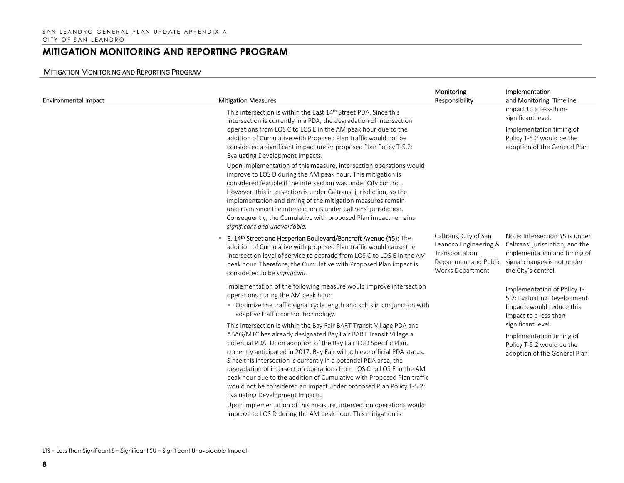| <b>Environmental Impact</b> | <b>Mitigation Measures</b>                                                                                                                                                                                                                                                                                                                                                                                                                                                                                                                                                                                                | Monitoring<br>Responsibility                                                                                  | Implementation<br>and Monitoring Timeline                                                                                                               |
|-----------------------------|---------------------------------------------------------------------------------------------------------------------------------------------------------------------------------------------------------------------------------------------------------------------------------------------------------------------------------------------------------------------------------------------------------------------------------------------------------------------------------------------------------------------------------------------------------------------------------------------------------------------------|---------------------------------------------------------------------------------------------------------------|---------------------------------------------------------------------------------------------------------------------------------------------------------|
|                             | This intersection is within the East 14 <sup>th</sup> Street PDA. Since this<br>intersection is currently in a PDA, the degradation of intersection                                                                                                                                                                                                                                                                                                                                                                                                                                                                       |                                                                                                               | impact to a less-than-<br>significant level.                                                                                                            |
|                             | operations from LOS C to LOS E in the AM peak hour due to the<br>addition of Cumulative with Proposed Plan traffic would not be<br>considered a significant impact under proposed Plan Policy T-5.2:<br>Evaluating Development Impacts.                                                                                                                                                                                                                                                                                                                                                                                   |                                                                                                               | Implementation timing of<br>Policy T-5.2 would be the<br>adoption of the General Plan.                                                                  |
|                             | Upon implementation of this measure, intersection operations would<br>improve to LOS D during the AM peak hour. This mitigation is<br>considered feasible if the intersection was under City control.<br>However, this intersection is under Caltrans' jurisdiction, so the<br>implementation and timing of the mitigation measures remain<br>uncertain since the intersection is under Caltrans' jurisdiction.<br>Consequently, the Cumulative with proposed Plan impact remains<br>significant and unavoidable.                                                                                                         |                                                                                                               |                                                                                                                                                         |
|                             | <b>E. 14th Street and Hesperian Boulevard/Bancroft Avenue (#5):</b> The<br>addition of Cumulative with proposed Plan traffic would cause the<br>intersection level of service to degrade from LOS C to LOS E in the AM<br>peak hour. Therefore, the Cumulative with Proposed Plan impact is<br>considered to be significant.                                                                                                                                                                                                                                                                                              | Caltrans, City of San<br>Leandro Engineering &<br>Transportation<br>Department and Public<br>Works Department | Note: Intersection #5 is under<br>Caltrans' jurisdiction, and the<br>implementation and timing of<br>signal changes is not under<br>the City's control. |
|                             | Implementation of the following measure would improve intersection<br>operations during the AM peak hour:<br>• Optimize the traffic signal cycle length and splits in conjunction with<br>adaptive traffic control technology.                                                                                                                                                                                                                                                                                                                                                                                            |                                                                                                               | Implementation of Policy T-<br>5.2: Evaluating Development<br>Impacts would reduce this<br>impact to a less-than-                                       |
|                             | This intersection is within the Bay Fair BART Transit Village PDA and<br>ABAG/MTC has already designated Bay Fair BART Transit Village a<br>potential PDA. Upon adoption of the Bay Fair TOD Specific Plan,<br>currently anticipated in 2017, Bay Fair will achieve official PDA status.<br>Since this intersection is currently in a potential PDA area, the<br>degradation of intersection operations from LOS C to LOS E in the AM<br>peak hour due to the addition of Cumulative with Proposed Plan traffic<br>would not be considered an impact under proposed Plan Policy T-5.2:<br>Evaluating Development Impacts. |                                                                                                               | significant level.<br>Implementation timing of<br>Policy T-5.2 would be the<br>adoption of the General Plan.                                            |
|                             | Upon implementation of this measure, intersection operations would<br>improve to LOS D during the AM peak hour. This mitigation is                                                                                                                                                                                                                                                                                                                                                                                                                                                                                        |                                                                                                               |                                                                                                                                                         |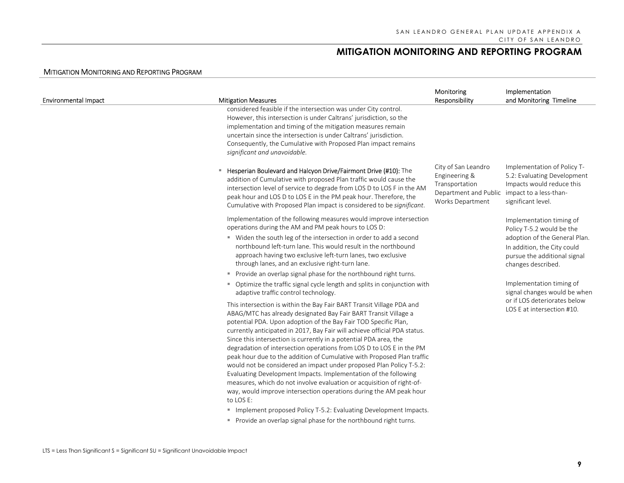| <b>Environmental Impact</b> | <b>Mitigation Measures</b>                                                                                                                                                                                                                                                                                                                                                                                                                                                                                                                                                                                                                                                                                                                                                                                                                                                                                                                 | Monitoring<br>Responsibility                                                                        | Implementation<br>and Monitoring Timeline                                                                                                                                   |
|-----------------------------|--------------------------------------------------------------------------------------------------------------------------------------------------------------------------------------------------------------------------------------------------------------------------------------------------------------------------------------------------------------------------------------------------------------------------------------------------------------------------------------------------------------------------------------------------------------------------------------------------------------------------------------------------------------------------------------------------------------------------------------------------------------------------------------------------------------------------------------------------------------------------------------------------------------------------------------------|-----------------------------------------------------------------------------------------------------|-----------------------------------------------------------------------------------------------------------------------------------------------------------------------------|
|                             | considered feasible if the intersection was under City control.<br>However, this intersection is under Caltrans' jurisdiction, so the<br>implementation and timing of the mitigation measures remain<br>uncertain since the intersection is under Caltrans' jurisdiction.<br>Consequently, the Cumulative with Proposed Plan impact remains<br>significant and unavoidable.                                                                                                                                                                                                                                                                                                                                                                                                                                                                                                                                                                |                                                                                                     |                                                                                                                                                                             |
|                             | Hesperian Boulevard and Halcyon Drive/Fairmont Drive (#10): The<br>addition of Cumulative with proposed Plan traffic would cause the<br>intersection level of service to degrade from LOS D to LOS F in the AM<br>peak hour and LOS D to LOS E in the PM peak hour. Therefore, the<br>Cumulative with Proposed Plan impact is considered to be significant.                                                                                                                                                                                                                                                                                                                                                                                                                                                                                                                                                                                | City of San Leandro<br>Engineering &<br>Transportation<br>Department and Public<br>Works Department | Implementation of Policy T-<br>5.2: Evaluating Development<br>Impacts would reduce this<br>impact to a less-than-<br>significant level.                                     |
|                             | Implementation of the following measures would improve intersection<br>operations during the AM and PM peak hours to LOS D:<br>" Widen the south leg of the intersection in order to add a second<br>northbound left-turn lane. This would result in the northbound<br>approach having two exclusive left-turn lanes, two exclusive<br>through lanes, and an exclusive right-turn lane.<br>Provide an overlap signal phase for the northbound right turns.                                                                                                                                                                                                                                                                                                                                                                                                                                                                                 |                                                                                                     | Implementation timing of<br>Policy T-5.2 would be the<br>adoption of the General Plan.<br>In addition, the City could<br>pursue the additional signal<br>changes described. |
|                             | • Optimize the traffic signal cycle length and splits in conjunction with<br>adaptive traffic control technology.<br>This intersection is within the Bay Fair BART Transit Village PDA and<br>ABAG/MTC has already designated Bay Fair BART Transit Village a<br>potential PDA. Upon adoption of the Bay Fair TOD Specific Plan,<br>currently anticipated in 2017, Bay Fair will achieve official PDA status.<br>Since this intersection is currently in a potential PDA area, the<br>degradation of intersection operations from LOS D to LOS E in the PM<br>peak hour due to the addition of Cumulative with Proposed Plan traffic<br>would not be considered an impact under proposed Plan Policy T-5.2:<br>Evaluating Development Impacts. Implementation of the following<br>measures, which do not involve evaluation or acquisition of right-of-<br>way, would improve intersection operations during the AM peak hour<br>to LOS E: |                                                                                                     | Implementation timing of<br>signal changes would be when<br>or if LOS deteriorates below<br>LOS E at intersection #10.                                                      |
|                             | " Implement proposed Policy T-5.2: Evaluating Development Impacts.<br>Provide an overlap signal phase for the northbound right turns.                                                                                                                                                                                                                                                                                                                                                                                                                                                                                                                                                                                                                                                                                                                                                                                                      |                                                                                                     |                                                                                                                                                                             |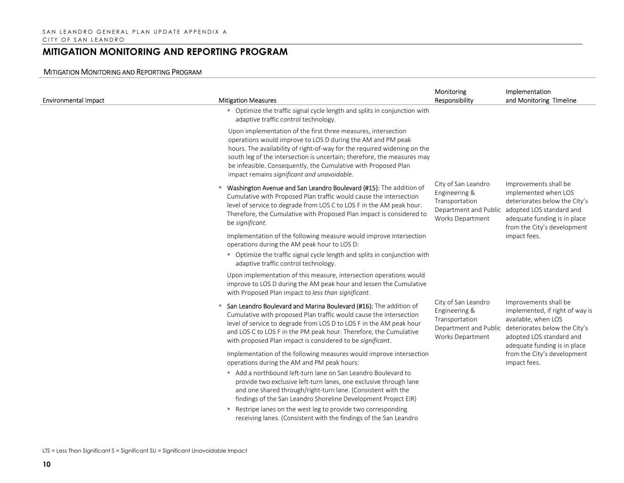| <b>Environmental Impact</b> | <b>Mitigation Measures</b>                                                                                                                                                                                                                                                                                                                                                                           | Monitoring<br>Responsibility                                                                        | Implementation<br>and Monitoring Timeline                                                                                                                                                                                   |
|-----------------------------|------------------------------------------------------------------------------------------------------------------------------------------------------------------------------------------------------------------------------------------------------------------------------------------------------------------------------------------------------------------------------------------------------|-----------------------------------------------------------------------------------------------------|-----------------------------------------------------------------------------------------------------------------------------------------------------------------------------------------------------------------------------|
|                             | • Optimize the traffic signal cycle length and splits in conjunction with<br>adaptive traffic control technology.                                                                                                                                                                                                                                                                                    |                                                                                                     |                                                                                                                                                                                                                             |
|                             | Upon implementation of the first three measures, intersection<br>operations would improve to LOS D during the AM and PM peak<br>hours. The availability of right-of-way for the required widening on the<br>south leg of the intersection is uncertain; therefore, the measures may<br>be infeasible. Consequently, the Cumulative with Proposed Plan<br>impact remains significant and unavoidable. |                                                                                                     |                                                                                                                                                                                                                             |
|                             | <b>Washington Avenue and San Leandro Boulevard (#15):</b> The addition of<br>Cumulative with Proposed Plan traffic would cause the intersection<br>level of service to degrade from LOS C to LOS F in the AM peak hour.<br>Therefore, the Cumulative with Proposed Plan impact is considered to<br>be significant.                                                                                   | City of San Leandro<br>Engineering &<br>Transportation<br>Department and Public<br>Works Department | Improvements shall be<br>implemented when LOS<br>deteriorates below the City's<br>adopted LOS standard and<br>adequate funding is in place<br>from the City's development                                                   |
|                             | Implementation of the following measure would improve intersection<br>operations during the AM peak hour to LOS D:                                                                                                                                                                                                                                                                                   |                                                                                                     | impact fees.                                                                                                                                                                                                                |
|                             | • Optimize the traffic signal cycle length and splits in conjunction with<br>adaptive traffic control technology.                                                                                                                                                                                                                                                                                    |                                                                                                     |                                                                                                                                                                                                                             |
|                             | Upon implementation of this measure, intersection operations would<br>improve to LOS D during the AM peak hour and lessen the Cumulative<br>with Proposed Plan impact to less than significant.                                                                                                                                                                                                      |                                                                                                     |                                                                                                                                                                                                                             |
|                             | San Leandro Boulevard and Marina Boulevard (#16): The addition of<br>Cumulative with proposed Plan traffic would cause the intersection<br>level of service to degrade from LOS D to LOS F in the AM peak hour<br>and LOS C to LOS F in the PM peak hour. Therefore, the Cumulative<br>with proposed Plan impact is considered to be significant.                                                    | City of San Leandro<br>Engineering &<br>Transportation<br>Department and Public<br>Works Department | Improvements shall be<br>implemented, if right of way is<br>available, when LOS<br>deteriorates below the City's<br>adopted LOS standard and<br>adequate funding is in place<br>from the City's development<br>impact fees. |
|                             | Implementation of the following measures would improve intersection<br>operations during the AM and PM peak hours:                                                                                                                                                                                                                                                                                   |                                                                                                     |                                                                                                                                                                                                                             |
|                             | Add a northbound left-turn lane on San Leandro Boulevard to<br>provide two exclusive left-turn lanes, one exclusive through lane<br>and one shared through/right-turn lane. (Consistent with the<br>findings of the San Leandro Shoreline Development Project EIR)                                                                                                                                   |                                                                                                     |                                                                                                                                                                                                                             |
|                             | Restripe lanes on the west leg to provide two corresponding<br>receiving lanes. (Consistent with the findings of the San Leandro                                                                                                                                                                                                                                                                     |                                                                                                     |                                                                                                                                                                                                                             |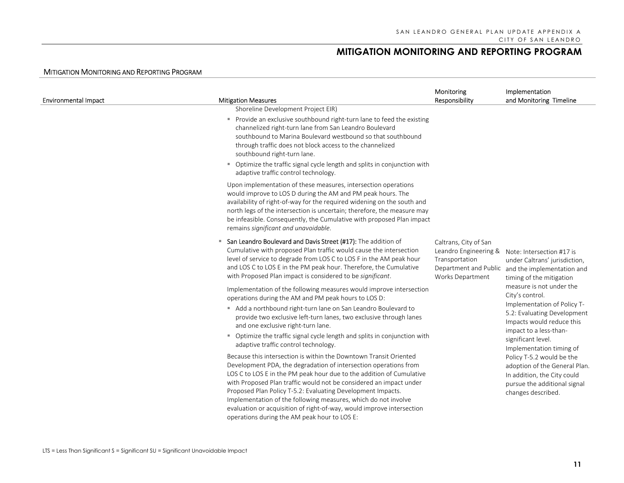| <b>Environmental Impact</b> | <b>Mitigation Measures</b>                                                                                                                                                                                                                                                                                                                                                                                                                                                                                                                                                            | Monitoring<br>Responsibility                                                         | Implementation<br>and Monitoring Timeline                                                                                                                                                                                                                                                                      |
|-----------------------------|---------------------------------------------------------------------------------------------------------------------------------------------------------------------------------------------------------------------------------------------------------------------------------------------------------------------------------------------------------------------------------------------------------------------------------------------------------------------------------------------------------------------------------------------------------------------------------------|--------------------------------------------------------------------------------------|----------------------------------------------------------------------------------------------------------------------------------------------------------------------------------------------------------------------------------------------------------------------------------------------------------------|
|                             | Shoreline Development Project EIR)<br>Provide an exclusive southbound right-turn lane to feed the existing<br>л.<br>channelized right-turn lane from San Leandro Boulevard<br>southbound to Marina Boulevard westbound so that southbound<br>through traffic does not block access to the channelized<br>southbound right-turn lane.<br>• Optimize the traffic signal cycle length and splits in conjunction with<br>adaptive traffic control technology.                                                                                                                             |                                                                                      |                                                                                                                                                                                                                                                                                                                |
|                             | Upon implementation of these measures, intersection operations<br>would improve to LOS D during the AM and PM peak hours. The<br>availability of right-of-way for the required widening on the south and<br>north legs of the intersection is uncertain; therefore, the measure may<br>be infeasible. Consequently, the Cumulative with proposed Plan impact<br>remains significant and unavoidable.                                                                                                                                                                                  |                                                                                      |                                                                                                                                                                                                                                                                                                                |
|                             | San Leandro Boulevard and Davis Street (#17): The addition of<br>Cumulative with proposed Plan traffic would cause the intersection<br>level of service to degrade from LOS C to LOS F in the AM peak hour<br>and LOS C to LOS E in the PM peak hour. Therefore, the Cumulative<br>with Proposed Plan impact is considered to be significant.<br>Implementation of the following measures would improve intersection                                                                                                                                                                  | Caltrans, City of San<br>Leandro Engineering &<br>Transportation<br>Works Department | Note: Intersection #17 is<br>under Caltrans' jurisdiction,<br>Department and Public and the implementation and<br>timing of the mitigation<br>measure is not under the<br>City's control.<br>Implementation of Policy T-<br>5.2: Evaluating Development<br>Impacts would reduce this<br>impact to a less-than- |
|                             | operations during the AM and PM peak hours to LOS D:<br>Add a northbound right-turn lane on San Leandro Boulevard to<br>provide two exclusive left-turn lanes, two exclusive through lanes<br>and one exclusive right-turn lane.<br>• Optimize the traffic signal cycle length and splits in conjunction with                                                                                                                                                                                                                                                                         |                                                                                      |                                                                                                                                                                                                                                                                                                                |
|                             | adaptive traffic control technology.<br>Because this intersection is within the Downtown Transit Oriented<br>Development PDA, the degradation of intersection operations from<br>LOS C to LOS E in the PM peak hour due to the addition of Cumulative<br>with Proposed Plan traffic would not be considered an impact under<br>Proposed Plan Policy T-5.2: Evaluating Development Impacts.<br>Implementation of the following measures, which do not involve<br>evaluation or acquisition of right-of-way, would improve intersection<br>operations during the AM peak hour to LOS E: |                                                                                      | significant level.<br>Implementation timing of<br>Policy T-5.2 would be the<br>adoption of the General Plan.<br>In addition, the City could<br>pursue the additional signal<br>changes described.                                                                                                              |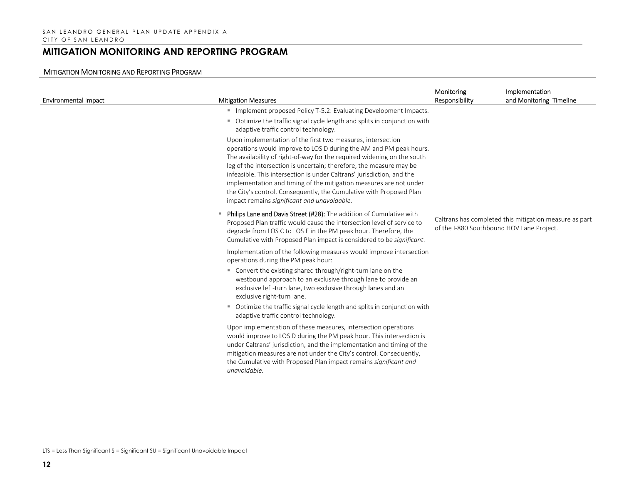| <b>Environmental Impact</b> | <b>Mitigation Measures</b>                                                                                                                                                                                                                                                                                                                                                                                                                                                                                                                                | Monitoring<br>Responsibility              | Implementation<br>and Monitoring Timeline              |
|-----------------------------|-----------------------------------------------------------------------------------------------------------------------------------------------------------------------------------------------------------------------------------------------------------------------------------------------------------------------------------------------------------------------------------------------------------------------------------------------------------------------------------------------------------------------------------------------------------|-------------------------------------------|--------------------------------------------------------|
|                             | Implement proposed Policy T-5.2: Evaluating Development Impacts.                                                                                                                                                                                                                                                                                                                                                                                                                                                                                          |                                           |                                                        |
|                             | Optimize the traffic signal cycle length and splits in conjunction with<br>m.<br>adaptive traffic control technology.                                                                                                                                                                                                                                                                                                                                                                                                                                     |                                           |                                                        |
|                             | Upon implementation of the first two measures, intersection<br>operations would improve to LOS D during the AM and PM peak hours.<br>The availability of right-of-way for the required widening on the south<br>leg of the intersection is uncertain; therefore, the measure may be<br>infeasible. This intersection is under Caltrans' jurisdiction, and the<br>implementation and timing of the mitigation measures are not under<br>the City's control. Consequently, the Cumulative with Proposed Plan<br>impact remains significant and unavoidable. |                                           |                                                        |
|                             | Philips Lane and Davis Street (#28): The addition of Cumulative with<br>Proposed Plan traffic would cause the intersection level of service to<br>degrade from LOS C to LOS F in the PM peak hour. Therefore, the<br>Cumulative with Proposed Plan impact is considered to be significant.                                                                                                                                                                                                                                                                | of the I-880 Southbound HOV Lane Project. | Caltrans has completed this mitigation measure as part |
|                             | Implementation of the following measures would improve intersection<br>operations during the PM peak hour:<br>" Convert the existing shared through/right-turn lane on the<br>westbound approach to an exclusive through lane to provide an<br>exclusive left-turn lane, two exclusive through lanes and an<br>exclusive right-turn lane.<br>Optimize the traffic signal cycle length and splits in conjunction with<br>m.<br>adaptive traffic control technology.                                                                                        |                                           |                                                        |
|                             | Upon implementation of these measures, intersection operations<br>would improve to LOS D during the PM peak hour. This intersection is<br>under Caltrans' jurisdiction, and the implementation and timing of the<br>mitigation measures are not under the City's control. Consequently,<br>the Cumulative with Proposed Plan impact remains significant and<br>unavoidable.                                                                                                                                                                               |                                           |                                                        |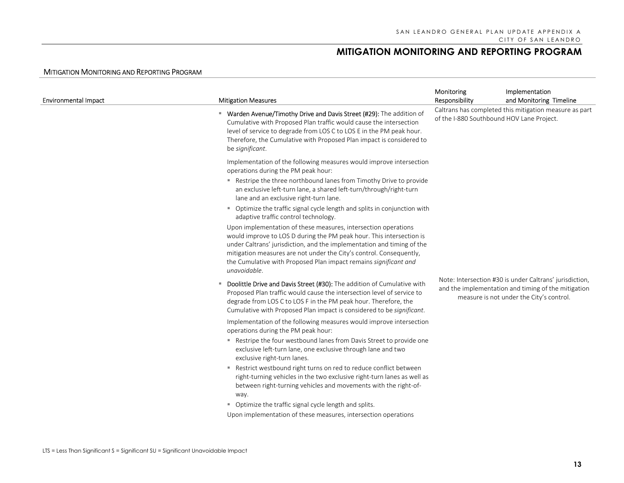| <b>Environmental Impact</b> | <b>Mitigation Measures</b>                                                                                                                                                                                                                                                                                                                                                  | Monitoring<br>Responsibility              | Implementation<br>and Monitoring Timeline                                                                                                                  |
|-----------------------------|-----------------------------------------------------------------------------------------------------------------------------------------------------------------------------------------------------------------------------------------------------------------------------------------------------------------------------------------------------------------------------|-------------------------------------------|------------------------------------------------------------------------------------------------------------------------------------------------------------|
|                             | " Warden Avenue/Timothy Drive and Davis Street (#29): The addition of<br>Cumulative with Proposed Plan traffic would cause the intersection<br>level of service to degrade from LOS C to LOS E in the PM peak hour.<br>Therefore, the Cumulative with Proposed Plan impact is considered to<br>be significant.                                                              | of the I-880 Southbound HOV Lane Project. | Caltrans has completed this mitigation measure as part                                                                                                     |
|                             | Implementation of the following measures would improve intersection<br>operations during the PM peak hour:                                                                                                                                                                                                                                                                  |                                           |                                                                                                                                                            |
|                             | " Restripe the three northbound lanes from Timothy Drive to provide<br>an exclusive left-turn lane, a shared left-turn/through/right-turn<br>lane and an exclusive right-turn lane.                                                                                                                                                                                         |                                           |                                                                                                                                                            |
|                             | • Optimize the traffic signal cycle length and splits in conjunction with<br>adaptive traffic control technology.                                                                                                                                                                                                                                                           |                                           |                                                                                                                                                            |
|                             | Upon implementation of these measures, intersection operations<br>would improve to LOS D during the PM peak hour. This intersection is<br>under Caltrans' jurisdiction, and the implementation and timing of the<br>mitigation measures are not under the City's control. Consequently,<br>the Cumulative with Proposed Plan impact remains significant and<br>unavoidable. |                                           |                                                                                                                                                            |
|                             | Doolittle Drive and Davis Street (#30): The addition of Cumulative with<br>п.<br>Proposed Plan traffic would cause the intersection level of service to<br>degrade from LOS C to LOS F in the PM peak hour. Therefore, the<br>Cumulative with Proposed Plan impact is considered to be significant.                                                                         |                                           | Note: Intersection #30 is under Caltrans' jurisdiction,<br>and the implementation and timing of the mitigation<br>measure is not under the City's control. |
|                             | Implementation of the following measures would improve intersection<br>operations during the PM peak hour:                                                                                                                                                                                                                                                                  |                                           |                                                                                                                                                            |
|                             | Restripe the four westbound lanes from Davis Street to provide one<br>exclusive left-turn lane, one exclusive through lane and two<br>exclusive right-turn lanes.                                                                                                                                                                                                           |                                           |                                                                                                                                                            |
|                             | Restrict westbound right turns on red to reduce conflict between<br>ш<br>right-turning vehicles in the two exclusive right-turn lanes as well as<br>between right-turning vehicles and movements with the right-of-<br>way.                                                                                                                                                 |                                           |                                                                                                                                                            |
|                             | • Optimize the traffic signal cycle length and splits.<br>Upon implementation of these measures, intersection operations                                                                                                                                                                                                                                                    |                                           |                                                                                                                                                            |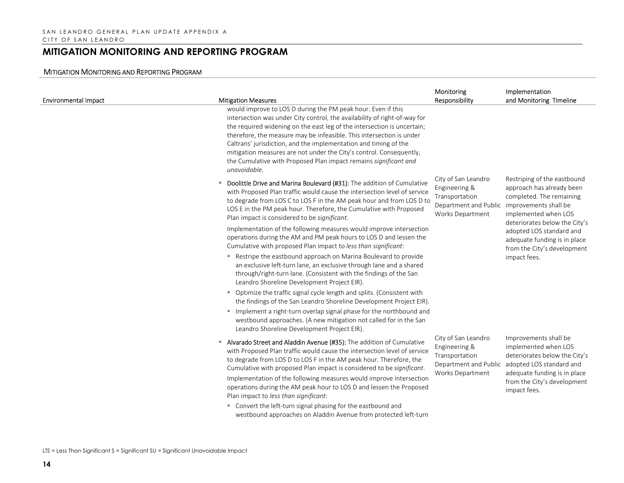| <b>Environmental Impact</b> | <b>Mitigation Measures</b>                                                                                                                                                                                                                                                                                                                                                                                                                                                                                                  | Monitoring<br>Responsibility                                                                                                                                                                                                            | Implementation<br>and Monitoring Timeline                                                                                                                                                                                                                                                                                                                                                                                                             |
|-----------------------------|-----------------------------------------------------------------------------------------------------------------------------------------------------------------------------------------------------------------------------------------------------------------------------------------------------------------------------------------------------------------------------------------------------------------------------------------------------------------------------------------------------------------------------|-----------------------------------------------------------------------------------------------------------------------------------------------------------------------------------------------------------------------------------------|-------------------------------------------------------------------------------------------------------------------------------------------------------------------------------------------------------------------------------------------------------------------------------------------------------------------------------------------------------------------------------------------------------------------------------------------------------|
|                             | would improve to LOS D during the PM peak hour. Even if this<br>intersection was under City control, the availability of right-of-way for<br>the required widening on the east leg of the intersection is uncertain;<br>therefore, the measure may be infeasible. This intersection is under<br>Caltrans' jurisdiction, and the implementation and timing of the<br>mitigation measures are not under the City's control. Consequently,<br>the Cumulative with Proposed Plan impact remains significant and<br>unavoidable. |                                                                                                                                                                                                                                         |                                                                                                                                                                                                                                                                                                                                                                                                                                                       |
|                             | Doolittle Drive and Marina Boulevard (#31): The addition of Cumulative<br>٠<br>with Proposed Plan traffic would cause the intersection level of service<br>to degrade from LOS C to LOS F in the AM peak hour and from LOS D to<br>LOS E in the PM peak hour. Therefore, the Cumulative with Proposed<br>Plan impact is considered to be significant.                                                                                                                                                                       | City of San Leandro<br>Engineering &<br>Transportation<br>Department and Public improvements shall be<br>Works Department<br>City of San Leandro<br>Engineering &<br>Transportation<br>Department and Public<br><b>Works Department</b> | Restriping of the eastbound<br>approach has already been<br>completed. The remaining<br>implemented when LOS<br>deteriorates below the City's<br>adopted LOS standard and<br>adequate funding is in place<br>from the City's development<br>impact fees.<br>Improvements shall be<br>implemented when LOS<br>deteriorates below the City's<br>adopted LOS standard and<br>adequate funding is in place<br>from the City's development<br>impact fees. |
|                             | Implementation of the following measures would improve intersection<br>operations during the AM and PM peak hours to LOS D and lessen the<br>Cumulative with proposed Plan impact to less than significant:                                                                                                                                                                                                                                                                                                                 |                                                                                                                                                                                                                                         |                                                                                                                                                                                                                                                                                                                                                                                                                                                       |
|                             | " Restripe the eastbound approach on Marina Boulevard to provide<br>an exclusive left-turn lane, an exclusive through lane and a shared<br>through/right-turn lane. (Consistent with the findings of the San<br>Leandro Shoreline Development Project EIR).                                                                                                                                                                                                                                                                 |                                                                                                                                                                                                                                         |                                                                                                                                                                                                                                                                                                                                                                                                                                                       |
|                             | " Optimize the traffic signal cycle length and splits. (Consistent with<br>the findings of the San Leandro Shoreline Development Project EIR).                                                                                                                                                                                                                                                                                                                                                                              |                                                                                                                                                                                                                                         |                                                                                                                                                                                                                                                                                                                                                                                                                                                       |
|                             | Implement a right-turn overlap signal phase for the northbound and<br>۰.<br>westbound approaches. (A new mitigation not called for in the San<br>Leandro Shoreline Development Project EIR).                                                                                                                                                                                                                                                                                                                                |                                                                                                                                                                                                                                         |                                                                                                                                                                                                                                                                                                                                                                                                                                                       |
|                             | Alvarado Street and Aladdin Avenue (#35): The addition of Cumulative<br>with Proposed Plan traffic would cause the intersection level of service<br>to degrade from LOS D to LOS F in the AM peak hour. Therefore, the<br>Cumulative with proposed Plan impact is considered to be significant.                                                                                                                                                                                                                             |                                                                                                                                                                                                                                         |                                                                                                                                                                                                                                                                                                                                                                                                                                                       |
|                             | Implementation of the following measures would improve intersection<br>operations during the AM peak hour to LOS D and lessen the Proposed<br>Plan impact to less than significant:                                                                                                                                                                                                                                                                                                                                         |                                                                                                                                                                                                                                         |                                                                                                                                                                                                                                                                                                                                                                                                                                                       |
|                             | • Convert the left-turn signal phasing for the eastbound and<br>westbound approaches on Aladdin Avenue from protected left-turn                                                                                                                                                                                                                                                                                                                                                                                             |                                                                                                                                                                                                                                         |                                                                                                                                                                                                                                                                                                                                                                                                                                                       |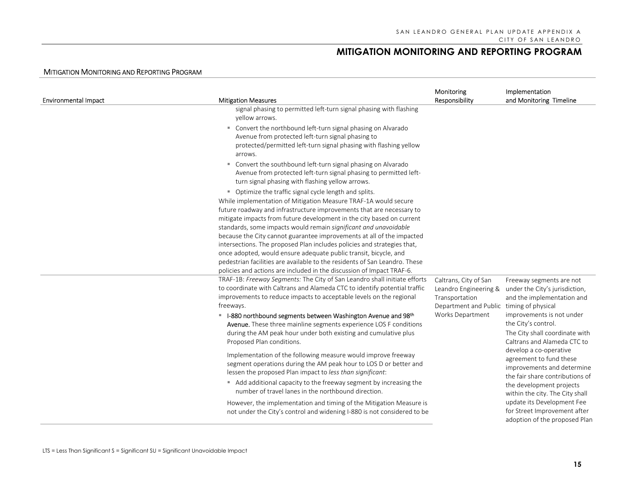| <b>Environmental Impact</b> | <b>Mitigation Measures</b>                                                                                                                                                                                                                                                                                                                                                                                                                                                                                                                                             | Monitoring<br>Responsibility                                                                                 | Implementation<br>and Monitoring Timeline                                                                          |
|-----------------------------|------------------------------------------------------------------------------------------------------------------------------------------------------------------------------------------------------------------------------------------------------------------------------------------------------------------------------------------------------------------------------------------------------------------------------------------------------------------------------------------------------------------------------------------------------------------------|--------------------------------------------------------------------------------------------------------------|--------------------------------------------------------------------------------------------------------------------|
|                             | signal phasing to permitted left-turn signal phasing with flashing<br>yellow arrows.                                                                                                                                                                                                                                                                                                                                                                                                                                                                                   |                                                                                                              |                                                                                                                    |
|                             | Convert the northbound left-turn signal phasing on Alvarado<br>٠<br>Avenue from protected left-turn signal phasing to<br>protected/permitted left-turn signal phasing with flashing yellow<br>arrows.<br>" Convert the southbound left-turn signal phasing on Alvarado                                                                                                                                                                                                                                                                                                 |                                                                                                              |                                                                                                                    |
|                             | Avenue from protected left-turn signal phasing to permitted left-<br>turn signal phasing with flashing yellow arrows.                                                                                                                                                                                                                                                                                                                                                                                                                                                  |                                                                                                              |                                                                                                                    |
|                             | • Optimize the traffic signal cycle length and splits.<br>While implementation of Mitigation Measure TRAF-1A would secure<br>future roadway and infrastructure improvements that are necessary to<br>mitigate impacts from future development in the city based on current<br>standards, some impacts would remain significant and unavoidable<br>because the City cannot guarantee improvements at all of the impacted<br>intersections. The proposed Plan includes policies and strategies that,<br>once adopted, would ensure adequate public transit, bicycle, and |                                                                                                              |                                                                                                                    |
|                             | pedestrian facilities are available to the residents of San Leandro. These<br>policies and actions are included in the discussion of Impact TRAF-6.                                                                                                                                                                                                                                                                                                                                                                                                                    |                                                                                                              |                                                                                                                    |
|                             | TRAF-1B: Freeway Segments: The City of San Leandro shall initiate efforts<br>to coordinate with Caltrans and Alameda CTC to identify potential traffic<br>improvements to reduce impacts to acceptable levels on the regional<br>freeways.                                                                                                                                                                                                                                                                                                                             | Caltrans, City of San<br>Leandro Engineering &<br>Transportation<br>Department and Public timing of physical | Freeway segments are not<br>under the City's jurisdiction,<br>and the implementation and                           |
|                             | <sup>■</sup> I-880 northbound segments between Washington Avenue and 98 <sup>th</sup><br>Avenue. These three mainline segments experience LOS F conditions<br>during the AM peak hour under both existing and cumulative plus<br>Proposed Plan conditions.                                                                                                                                                                                                                                                                                                             | Works Department                                                                                             | improvements is not under<br>the City's control.<br>The City shall coordinate with<br>Caltrans and Alameda CTC to  |
|                             | Implementation of the following measure would improve freeway<br>segment operations during the AM peak hour to LOS D or better and<br>lessen the proposed Plan impact to less than significant:                                                                                                                                                                                                                                                                                                                                                                        |                                                                                                              | develop a co-operative<br>agreement to fund these<br>improvements and determine<br>the fair share contributions of |
|                             | Add additional capacity to the freeway segment by increasing the<br>number of travel lanes in the northbound direction.                                                                                                                                                                                                                                                                                                                                                                                                                                                |                                                                                                              | the development projects<br>within the city. The City shall                                                        |
|                             | However, the implementation and timing of the Mitigation Measure is<br>not under the City's control and widening I-880 is not considered to be                                                                                                                                                                                                                                                                                                                                                                                                                         |                                                                                                              | update its Development Fee<br>for Street Improvement after<br>adoption of the proposed Plan                        |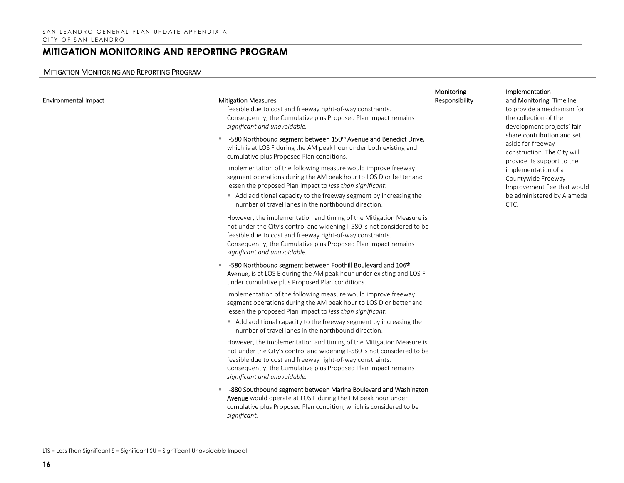| <b>Environmental Impact</b> | <b>Mitigation Measures</b>                                                                                                                                                                                                                                                                                     | Monitoring<br>Responsibility | Implementation<br>and Monitoring Timeline                                                             |
|-----------------------------|----------------------------------------------------------------------------------------------------------------------------------------------------------------------------------------------------------------------------------------------------------------------------------------------------------------|------------------------------|-------------------------------------------------------------------------------------------------------|
|                             | feasible due to cost and freeway right-of-way constraints.<br>Consequently, the Cumulative plus Proposed Plan impact remains<br>significant and unavoidable.                                                                                                                                                   |                              | to provide a mechanism for<br>the collection of the<br>development projects' fair                     |
|                             | ■ I-580 Northbound segment between 150 <sup>th</sup> Avenue and Benedict Drive,<br>which is at LOS F during the AM peak hour under both existing and<br>cumulative plus Proposed Plan conditions.                                                                                                              |                              | share contribution and set<br>aside for freeway<br>construction. The City will                        |
|                             | Implementation of the following measure would improve freeway<br>segment operations during the AM peak hour to LOS D or better and<br>lessen the proposed Plan impact to less than significant:                                                                                                                |                              | provide its support to the<br>implementation of a<br>Countywide Freeway<br>Improvement Fee that would |
|                             | Add additional capacity to the freeway segment by increasing the<br>number of travel lanes in the northbound direction.                                                                                                                                                                                        |                              | be administered by Alameda<br>CTC.                                                                    |
|                             | However, the implementation and timing of the Mitigation Measure is<br>not under the City's control and widening I-580 is not considered to be<br>feasible due to cost and freeway right-of-way constraints.<br>Consequently, the Cumulative plus Proposed Plan impact remains<br>significant and unavoidable. |                              |                                                                                                       |
|                             | " I-580 Northbound segment between Foothill Boulevard and 106th<br>Avenue, is at LOS E during the AM peak hour under existing and LOS F<br>under cumulative plus Proposed Plan conditions.                                                                                                                     |                              |                                                                                                       |
|                             | Implementation of the following measure would improve freeway<br>segment operations during the AM peak hour to LOS D or better and<br>lessen the proposed Plan impact to less than significant:                                                                                                                |                              |                                                                                                       |
|                             | Add additional capacity to the freeway segment by increasing the<br>number of travel lanes in the northbound direction.                                                                                                                                                                                        |                              |                                                                                                       |
|                             | However, the implementation and timing of the Mitigation Measure is<br>not under the City's control and widening I-580 is not considered to be<br>feasible due to cost and freeway right-of-way constraints.<br>Consequently, the Cumulative plus Proposed Plan impact remains<br>significant and unavoidable. |                              |                                                                                                       |
|                             | " I-880 Southbound segment between Marina Boulevard and Washington<br>Avenue would operate at LOS F during the PM peak hour under<br>cumulative plus Proposed Plan condition, which is considered to be<br>significant.                                                                                        |                              |                                                                                                       |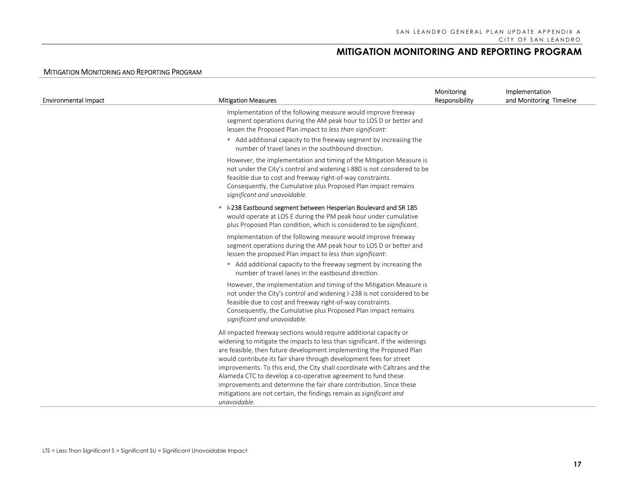| <b>Environmental Impact</b> | <b>Mitigation Measures</b>                                                                                                                                                                                                                                                                                                                                                                                                                                                                                                                                                                                    | Monitoring<br>Responsibility | Implementation<br>and Monitoring Timeline |
|-----------------------------|---------------------------------------------------------------------------------------------------------------------------------------------------------------------------------------------------------------------------------------------------------------------------------------------------------------------------------------------------------------------------------------------------------------------------------------------------------------------------------------------------------------------------------------------------------------------------------------------------------------|------------------------------|-------------------------------------------|
|                             | Implementation of the following measure would improve freeway<br>segment operations during the AM peak hour to LOS D or better and<br>lessen the Proposed Plan impact to less than significant:                                                                                                                                                                                                                                                                                                                                                                                                               |                              |                                           |
|                             | Add additional capacity to the freeway segment by increasing the<br>number of travel lanes in the southbound direction.                                                                                                                                                                                                                                                                                                                                                                                                                                                                                       |                              |                                           |
|                             | However, the implementation and timing of the Mitigation Measure is<br>not under the City's control and widening I-880 is not considered to be<br>feasible due to cost and freeway right-of-way constraints.<br>Consequently, the Cumulative plus Proposed Plan impact remains<br>significant and unavoidable.                                                                                                                                                                                                                                                                                                |                              |                                           |
|                             | - I-238 Eastbound segment between Hesperian Boulevard and SR 185<br>would operate at LOS E during the PM peak hour under cumulative<br>plus Proposed Plan condition, which is considered to be significant.                                                                                                                                                                                                                                                                                                                                                                                                   |                              |                                           |
|                             | Implementation of the following measure would improve freeway<br>segment operations during the AM peak hour to LOS D or better and<br>lessen the proposed Plan impact to less than significant:                                                                                                                                                                                                                                                                                                                                                                                                               |                              |                                           |
|                             | Add additional capacity to the freeway segment by increasing the<br>number of travel lanes in the eastbound direction.                                                                                                                                                                                                                                                                                                                                                                                                                                                                                        |                              |                                           |
|                             | However, the implementation and timing of the Mitigation Measure is<br>not under the City's control and widening I-238 is not considered to be<br>feasible due to cost and freeway right-of-way constraints.<br>Consequently, the Cumulative plus Proposed Plan impact remains<br>significant and unavoidable.                                                                                                                                                                                                                                                                                                |                              |                                           |
|                             | All impacted freeway sections would require additional capacity or<br>widening to mitigate the impacts to less than significant. If the widenings<br>are feasible, then future development implementing the Proposed Plan<br>would contribute its fair share through development fees for street<br>improvements. To this end, the City shall coordinate with Caltrans and the<br>Alameda CTC to develop a co-operative agreement to fund these<br>improvements and determine the fair share contribution. Since these<br>mitigations are not certain, the findings remain as significant and<br>unavoidable. |                              |                                           |